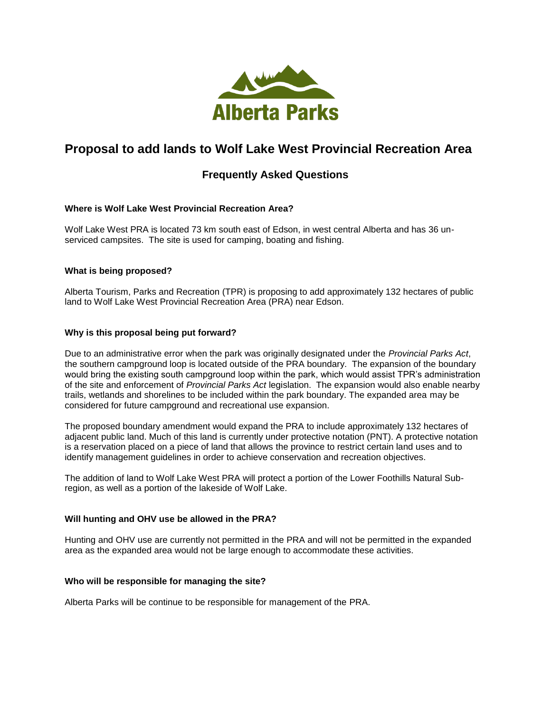

# **Proposal to add lands to Wolf Lake West Provincial Recreation Area**

# **Frequently Asked Questions**

## **Where is Wolf Lake West Provincial Recreation Area?**

Wolf Lake West PRA is located 73 km south east of Edson, in west central Alberta and has 36 unserviced campsites. The site is used for camping, boating and fishing.

#### **What is being proposed?**

Alberta Tourism, Parks and Recreation (TPR) is proposing to add approximately 132 hectares of public land to Wolf Lake West Provincial Recreation Area (PRA) near Edson.

#### **Why is this proposal being put forward?**

Due to an administrative error when the park was originally designated under the *Provincial Parks Act*, the southern campground loop is located outside of the PRA boundary. The expansion of the boundary would bring the existing south campground loop within the park, which would assist TPR's administration of the site and enforcement of *Provincial Parks Act* legislation. The expansion would also enable nearby trails, wetlands and shorelines to be included within the park boundary. The expanded area may be considered for future campground and recreational use expansion.

The proposed boundary amendment would expand the PRA to include approximately 132 hectares of adjacent public land. Much of this land is currently under protective notation (PNT). A protective notation is a reservation placed on a piece of land that allows the province to restrict certain land uses and to identify management guidelines in order to achieve conservation and recreation objectives.

The addition of land to Wolf Lake West PRA will protect a portion of the Lower Foothills Natural Subregion, as well as a portion of the lakeside of Wolf Lake.

## **Will hunting and OHV use be allowed in the PRA?**

Hunting and OHV use are currently not permitted in the PRA and will not be permitted in the expanded area as the expanded area would not be large enough to accommodate these activities.

#### **Who will be responsible for managing the site?**

Alberta Parks will be continue to be responsible for management of the PRA.